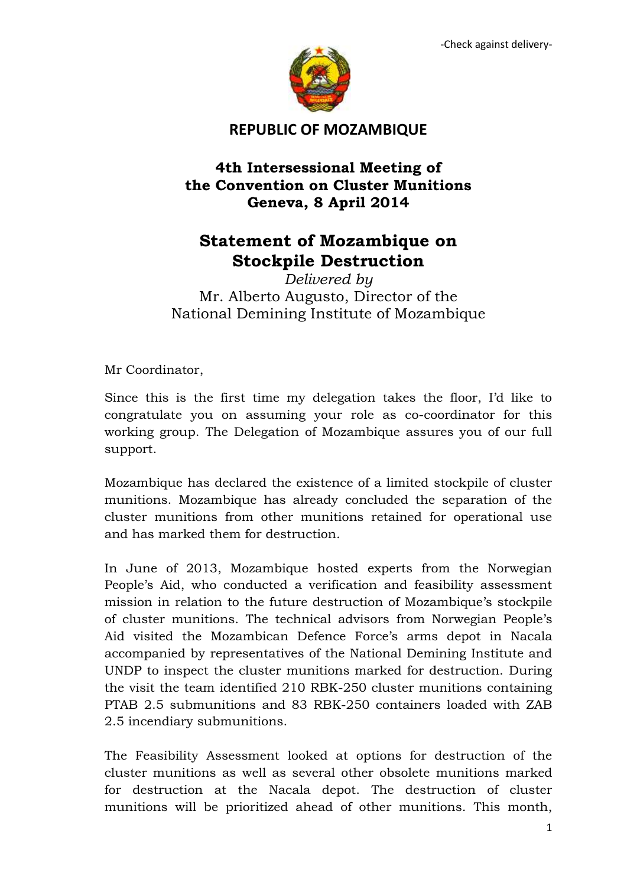

## **REPUBLIC OF MOZAMBIQUE**

## **4th Intersessional Meeting of the Convention on Cluster Munitions Geneva, 8 April 2014**

## **Statement of Mozambique on Stockpile Destruction**

*Delivered by* Mr. Alberto Augusto, Director of the National Demining Institute of Mozambique

Mr Coordinator,

Since this is the first time my delegation takes the floor, I'd like to congratulate you on assuming your role as co-coordinator for this working group. The Delegation of Mozambique assures you of our full support.

Mozambique has declared the existence of a limited stockpile of cluster munitions. Mozambique has already concluded the separation of the cluster munitions from other munitions retained for operational use and has marked them for destruction.

In June of 2013, Mozambique hosted experts from the Norwegian People's Aid, who conducted a verification and feasibility assessment mission in relation to the future destruction of Mozambique's stockpile of cluster munitions. The technical advisors from Norwegian People's Aid visited the Mozambican Defence Force's arms depot in Nacala accompanied by representatives of the National Demining Institute and UNDP to inspect the cluster munitions marked for destruction. During the visit the team identified 210 RBK-250 cluster munitions containing PTAB 2.5 submunitions and 83 RBK-250 containers loaded with ZAB 2.5 incendiary submunitions.

The Feasibility Assessment looked at options for destruction of the cluster munitions as well as several other obsolete munitions marked for destruction at the Nacala depot. The destruction of cluster munitions will be prioritized ahead of other munitions. This month,